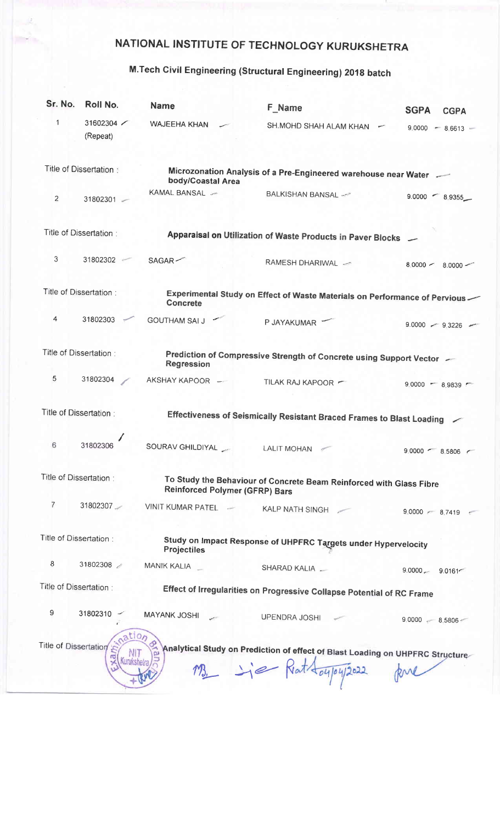## NATIONAL INSTITUTE OF TECHNOLOGY KURUKSHETRA

## M.Tech civil Engineering (structurat Engineering) 201g batch

| Sr. No.                 | Roll No.                                    | <b>Name</b>                                                                                                  | <b>F_Name</b>                                                                                            | <b>SGPA</b><br><b>CGPA</b> |  |
|-------------------------|---------------------------------------------|--------------------------------------------------------------------------------------------------------------|----------------------------------------------------------------------------------------------------------|----------------------------|--|
| $\mathbf{1}$            | 31602304<br>(Repeat)                        | <b>WAJEEHA KHAN</b>                                                                                          | SH.MOHD SHAH ALAM KHAN                                                                                   | $9.0000 - 8.6613 -$        |  |
|                         | Title of Dissertation:                      | body/Coastal Area                                                                                            | Microzonation Analysis of a Pre-Engineered warehouse near Water                                          |                            |  |
| 2                       | 31802301 -                                  | KAMAL BANSAL -                                                                                               | BALKISHAN BANSAL -                                                                                       | $9.0000 - 8.9355$          |  |
| Title of Dissertation:  |                                             |                                                                                                              | Apparaisal on Utilization of Waste Products in Paver Blocks —                                            |                            |  |
| 3                       | 31802302                                    | SAGAR                                                                                                        | RAMESH DHARIWAL ~                                                                                        | $8.0000 -$<br>$8.0000 -$   |  |
|                         | Title of Dissertation:                      | <b>Concrete</b>                                                                                              | Experimental Study on Effect of Waste Materials on Performance of Pervious                               |                            |  |
| 4                       | 31802303                                    | <b>GOUTHAM SAI J</b>                                                                                         | P JAYAKUMAR                                                                                              | $9.0000 - 9.3226$          |  |
|                         | Title of Dissertation :                     | <b>Regression</b>                                                                                            | Prediction of Compressive Strength of Concrete using Support Vector -                                    |                            |  |
| 5                       | 31802304                                    | AKSHAY KAPOOR -                                                                                              | TILAK RAJ KAPOOR                                                                                         | $9.0000 - 8.9839$          |  |
| Title of Dissertation : |                                             | Effectiveness of Seismically Resistant Braced Frames to Blast Loading                                        |                                                                                                          |                            |  |
| 6                       | 31802306                                    |                                                                                                              |                                                                                                          | $9.0000$ $- 8.5806$ $-$    |  |
| Title of Dissertation:  |                                             | To Study the Behaviour of Concrete Beam Reinforced with Glass Fibre<br><b>Reinforced Polymer (GFRP) Bars</b> |                                                                                                          |                            |  |
| $\overline{7}$          | 31802307                                    | VINIT KUMAR PATEL -                                                                                          | KALP NATH SINGH                                                                                          | $9.0000 - 8.7419$          |  |
| Title of Dissertation:  |                                             | Study on Impact Response of UHPFRC Targets under Hypervelocity<br><b>Projectiles</b>                         |                                                                                                          |                            |  |
| $\bf8$                  | 31802308                                    | MANIK KALIA                                                                                                  | SHARAD KALIA                                                                                             | $9.0000 - 9.0161$          |  |
|                         | Title of Dissertation:                      |                                                                                                              | Effect of Irregularities on Progressive Collapse Potential of RC Frame                                   |                            |  |
| 9                       | $31802310 -$                                | <b>MAYANK JOSHI</b>                                                                                          | UPENDRA JOSHI                                                                                            | $9.0000 - 8.5806$          |  |
|                         | pation<br><b>Title of Dissertation</b><br>ß |                                                                                                              | Analytical Study on Prediction of effect of Blast Loading on UHPFRC Structure<br>M3 - is Rat toy/04/2022 |                            |  |